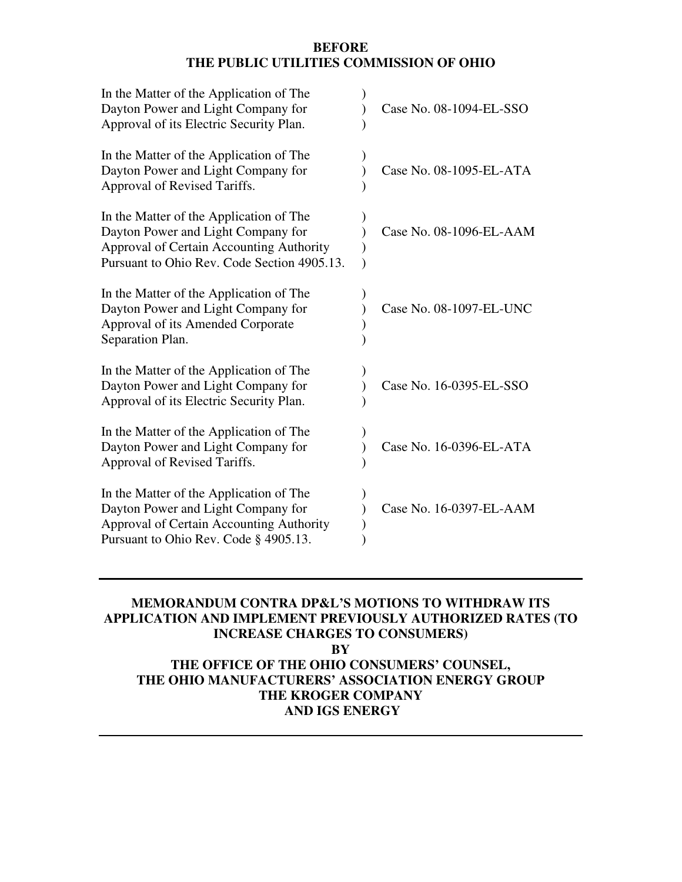#### **BEFORE THE PUBLIC UTILITIES COMMISSION OF OHIO**

| In the Matter of the Application of The<br>Dayton Power and Light Company for<br>Approval of its Electric Security Plan.                                                 | Case No. 08-1094-EL-SSO |
|--------------------------------------------------------------------------------------------------------------------------------------------------------------------------|-------------------------|
| In the Matter of the Application of The<br>Dayton Power and Light Company for<br>Approval of Revised Tariffs.                                                            | Case No. 08-1095-EL-ATA |
| In the Matter of the Application of The<br>Dayton Power and Light Company for<br>Approval of Certain Accounting Authority<br>Pursuant to Ohio Rev. Code Section 4905.13. | Case No. 08-1096-EL-AAM |
| In the Matter of the Application of The<br>Dayton Power and Light Company for<br>Approval of its Amended Corporate<br>Separation Plan.                                   | Case No. 08-1097-EL-UNC |
| In the Matter of the Application of The<br>Dayton Power and Light Company for<br>Approval of its Electric Security Plan.                                                 | Case No. 16-0395-EL-SSO |
| In the Matter of the Application of The<br>Dayton Power and Light Company for<br>Approval of Revised Tariffs.                                                            | Case No. 16-0396-EL-ATA |
| In the Matter of the Application of The<br>Dayton Power and Light Company for<br>Approval of Certain Accounting Authority<br>Pursuant to Ohio Rev. Code § 4905.13.       | Case No. 16-0397-EL-AAM |

## **MEMORANDUM CONTRA DP&L'S MOTIONS TO WITHDRAW ITS APPLICATION AND IMPLEMENT PREVIOUSLY AUTHORIZED RATES (TO INCREASE CHARGES TO CONSUMERS)**

**BY** 

# **THE OFFICE OF THE OHIO CONSUMERS' COUNSEL, THE OHIO MANUFACTURERS' ASSOCIATION ENERGY GROUP THE KROGER COMPANY AND IGS ENERGY**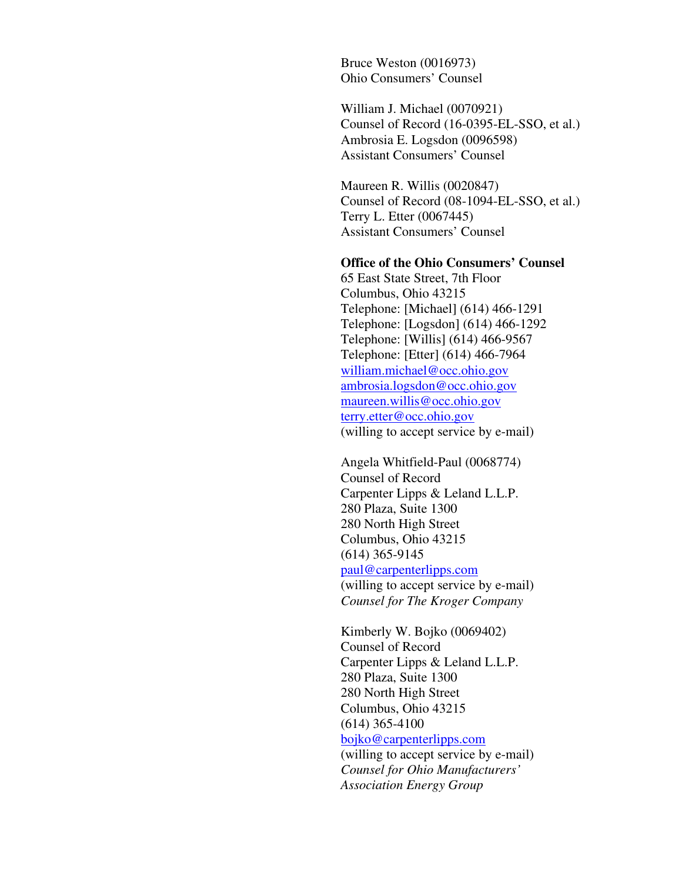Bruce Weston (0016973) Ohio Consumers' Counsel

William J. Michael (0070921) Counsel of Record (16-0395-EL-SSO, et al.) Ambrosia E. Logsdon (0096598) Assistant Consumers' Counsel

Maureen R. Willis (0020847) Counsel of Record (08-1094-EL-SSO, et al.) Terry L. Etter (0067445) Assistant Consumers' Counsel

#### **Office of the Ohio Consumers' Counsel**

65 East State Street, 7th Floor Columbus, Ohio 43215 Telephone: [Michael] (614) 466-1291 Telephone: [Logsdon] (614) 466-1292 Telephone: [Willis] (614) 466-9567 Telephone: [Etter] (614) 466-7964 william.michael@occ.ohio.gov ambrosia.logsdon@occ.ohio.gov maureen.willis@occ.ohio.gov terry.etter@occ.ohio.gov (willing to accept service by e-mail)

Angela Whitfield-Paul (0068774) Counsel of Record Carpenter Lipps & Leland L.L.P. 280 Plaza, Suite 1300 280 North High Street Columbus, Ohio 43215 (614) 365-9145 paul@carpenterlipps.com (willing to accept service by e-mail) *Counsel for The Kroger Company* 

Kimberly W. Bojko (0069402) Counsel of Record Carpenter Lipps & Leland L.L.P. 280 Plaza, Suite 1300 280 North High Street Columbus, Ohio 43215 (614) 365-4100 bojko@carpenterlipps.com (willing to accept service by e-mail) *Counsel for Ohio Manufacturers' Association Energy Group*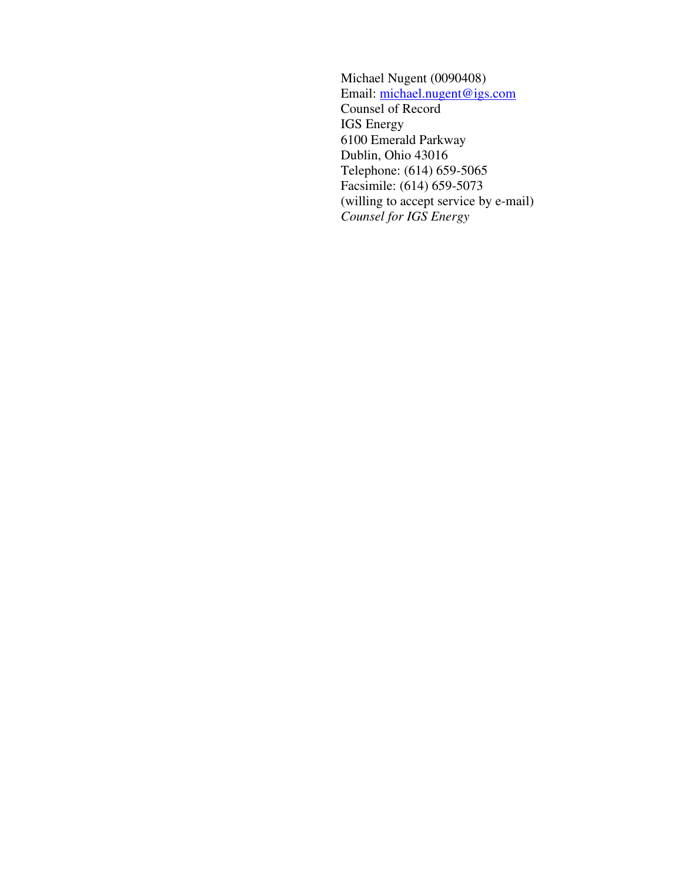Michael Nugent (0090408) Email: michael.nugent@igs.com Counsel of Record IGS Energy 6100 Emerald Parkway Dublin, Ohio 43016 Telephone: (614) 659-5065 Facsimile: (614) 659-5073 (willing to accept service by e-mail) *Counsel for IGS Energy*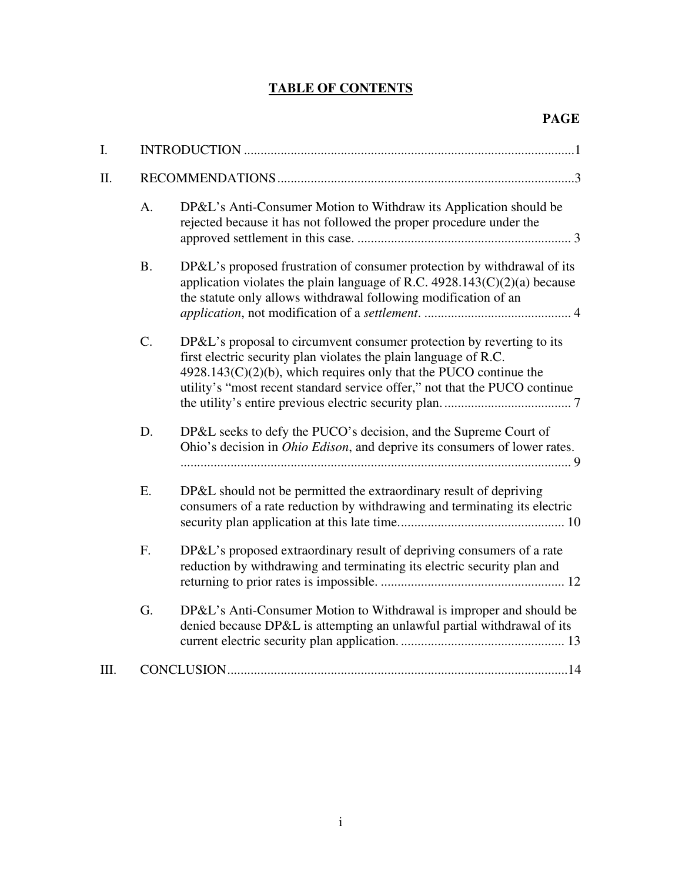# **TABLE OF CONTENTS**

| I.   |           |                                                                                                                                                                                                                                                                                                 |  |  |  |  |
|------|-----------|-------------------------------------------------------------------------------------------------------------------------------------------------------------------------------------------------------------------------------------------------------------------------------------------------|--|--|--|--|
| II.  |           |                                                                                                                                                                                                                                                                                                 |  |  |  |  |
|      | A.        | DP&L's Anti-Consumer Motion to Withdraw its Application should be<br>rejected because it has not followed the proper procedure under the                                                                                                                                                        |  |  |  |  |
|      | <b>B.</b> | DP&L's proposed frustration of consumer protection by withdrawal of its<br>application violates the plain language of R.C. $4928.143(C)(2)(a)$ because<br>the statute only allows withdrawal following modification of an                                                                       |  |  |  |  |
|      | C.        | DP&L's proposal to circumvent consumer protection by reverting to its<br>first electric security plan violates the plain language of R.C.<br>$4928.143(C)(2)(b)$ , which requires only that the PUCO continue the<br>utility's "most recent standard service offer," not that the PUCO continue |  |  |  |  |
|      | D.        | DP&L seeks to defy the PUCO's decision, and the Supreme Court of<br>Ohio's decision in <i>Ohio Edison</i> , and deprive its consumers of lower rates.                                                                                                                                           |  |  |  |  |
|      | Ε.        | DP&L should not be permitted the extraordinary result of depriving<br>consumers of a rate reduction by withdrawing and terminating its electric                                                                                                                                                 |  |  |  |  |
|      | F.        | DP&L's proposed extraordinary result of depriving consumers of a rate<br>reduction by withdrawing and terminating its electric security plan and                                                                                                                                                |  |  |  |  |
|      | G.        | DP&L's Anti-Consumer Motion to Withdrawal is improper and should be<br>denied because DP&L is attempting an unlawful partial withdrawal of its                                                                                                                                                  |  |  |  |  |
| III. |           |                                                                                                                                                                                                                                                                                                 |  |  |  |  |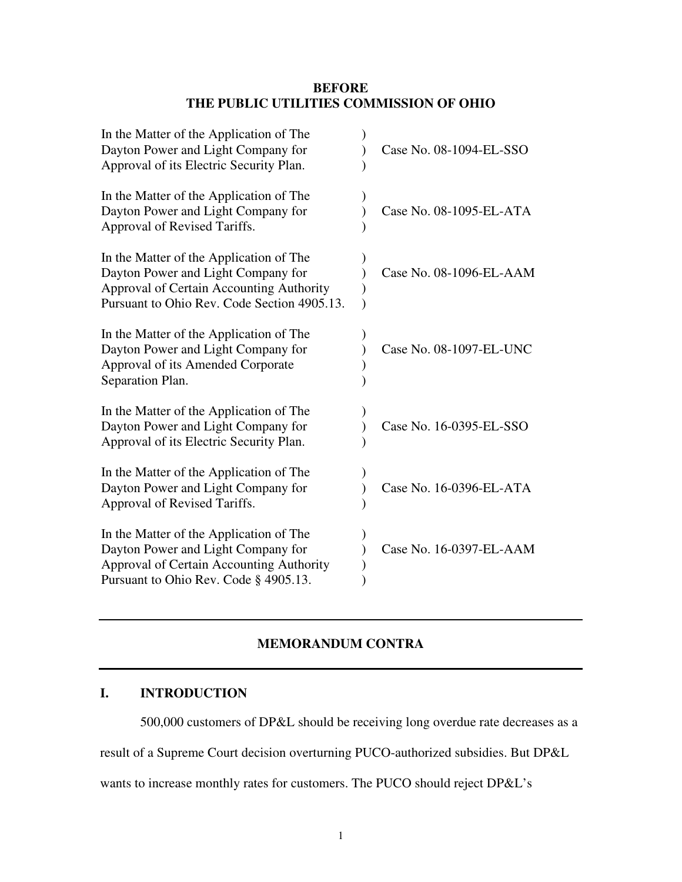#### **BEFORE THE PUBLIC UTILITIES COMMISSION OF OHIO**

| In the Matter of the Application of The<br>Dayton Power and Light Company for<br>Approval of its Electric Security Plan.                                                 | Case No. 08-1094-EL-SSO |
|--------------------------------------------------------------------------------------------------------------------------------------------------------------------------|-------------------------|
| In the Matter of the Application of The<br>Dayton Power and Light Company for<br>Approval of Revised Tariffs.                                                            | Case No. 08-1095-EL-ATA |
| In the Matter of the Application of The<br>Dayton Power and Light Company for<br>Approval of Certain Accounting Authority<br>Pursuant to Ohio Rev. Code Section 4905.13. | Case No. 08-1096-EL-AAM |
| In the Matter of the Application of The<br>Dayton Power and Light Company for<br>Approval of its Amended Corporate<br>Separation Plan.                                   | Case No. 08-1097-EL-UNC |
| In the Matter of the Application of The<br>Dayton Power and Light Company for<br>Approval of its Electric Security Plan.                                                 | Case No. 16-0395-EL-SSO |
| In the Matter of the Application of The<br>Dayton Power and Light Company for<br>Approval of Revised Tariffs.                                                            | Case No. 16-0396-EL-ATA |
| In the Matter of the Application of The<br>Dayton Power and Light Company for<br>Approval of Certain Accounting Authority<br>Pursuant to Ohio Rev. Code § 4905.13.       | Case No. 16-0397-EL-AAM |

## **MEMORANDUM CONTRA**

## **I. INTRODUCTION**

500,000 customers of DP&L should be receiving long overdue rate decreases as a

result of a Supreme Court decision overturning PUCO-authorized subsidies. But DP&L

wants to increase monthly rates for customers. The PUCO should reject DP&L's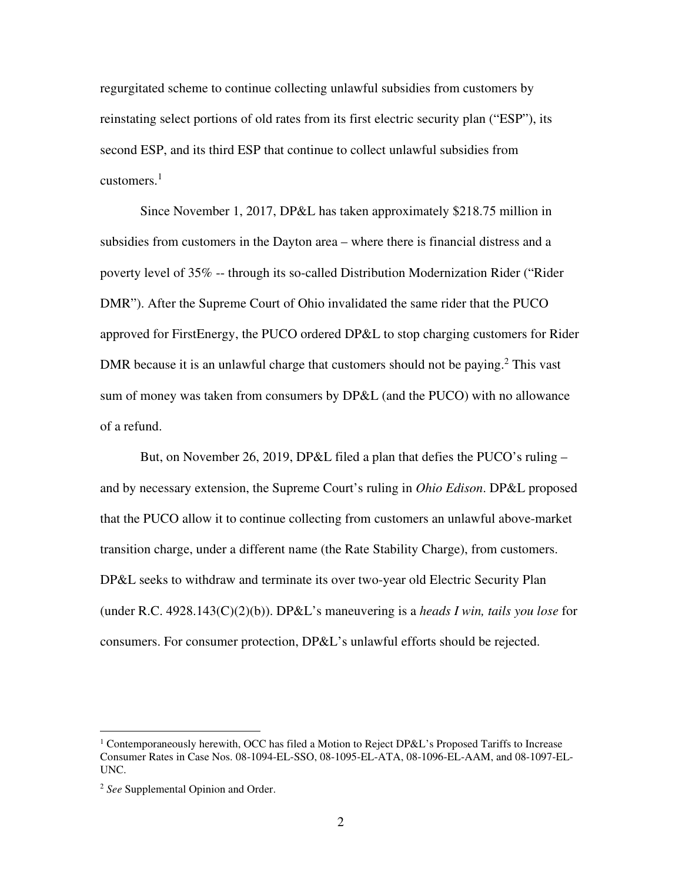regurgitated scheme to continue collecting unlawful subsidies from customers by reinstating select portions of old rates from its first electric security plan ("ESP"), its second ESP, and its third ESP that continue to collect unlawful subsidies from customers. $<sup>1</sup>$ </sup>

Since November 1, 2017, DP&L has taken approximately \$218.75 million in subsidies from customers in the Dayton area – where there is financial distress and a poverty level of 35% -- through its so-called Distribution Modernization Rider ("Rider DMR"). After the Supreme Court of Ohio invalidated the same rider that the PUCO approved for FirstEnergy, the PUCO ordered DP&L to stop charging customers for Rider DMR because it is an unlawful charge that customers should not be paying.<sup>2</sup> This vast sum of money was taken from consumers by DP&L (and the PUCO) with no allowance of a refund.

But, on November 26, 2019, DP&L filed a plan that defies the PUCO's ruling – and by necessary extension, the Supreme Court's ruling in *Ohio Edison*. DP&L proposed that the PUCO allow it to continue collecting from customers an unlawful above-market transition charge, under a different name (the Rate Stability Charge), from customers. DP&L seeks to withdraw and terminate its over two-year old Electric Security Plan (under R.C. 4928.143(C)(2)(b)). DP&L's maneuvering is a *heads I win, tails you lose* for consumers. For consumer protection, DP&L's unlawful efforts should be rejected.

<sup>&</sup>lt;sup>1</sup> Contemporaneously herewith, OCC has filed a Motion to Reject DP&L's Proposed Tariffs to Increase Consumer Rates in Case Nos. 08-1094-EL-SSO, 08-1095-EL-ATA, 08-1096-EL-AAM, and 08-1097-EL-UNC.

<sup>2</sup> *See* Supplemental Opinion and Order.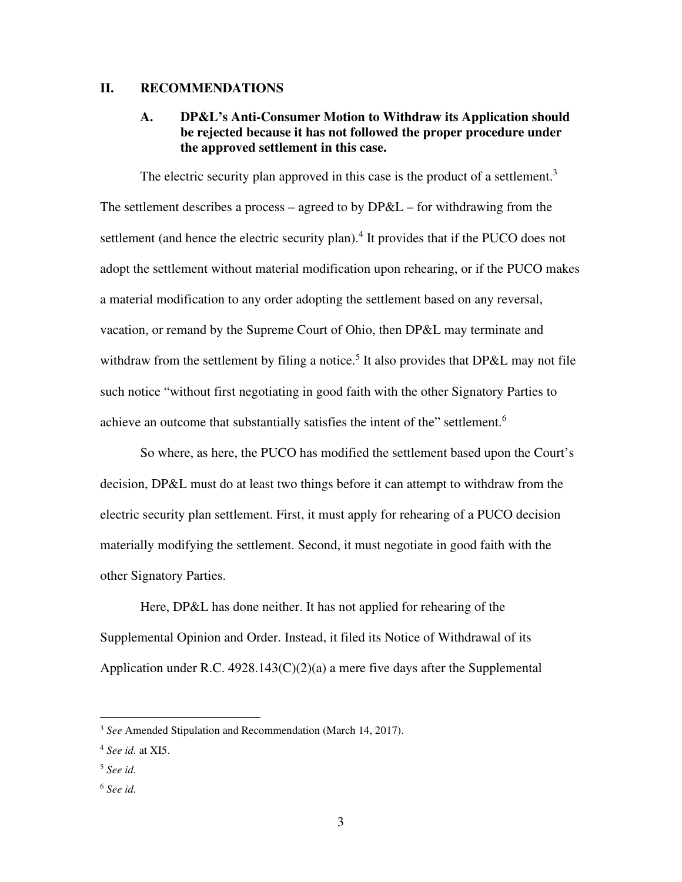#### **II. RECOMMENDATIONS**

### **A. DP&L's Anti-Consumer Motion to Withdraw its Application should be rejected because it has not followed the proper procedure under the approved settlement in this case.**

The electric security plan approved in this case is the product of a settlement.<sup>3</sup> The settlement describes a process – agreed to by DP&L – for withdrawing from the settlement (and hence the electric security plan).<sup>4</sup> It provides that if the PUCO does not adopt the settlement without material modification upon rehearing, or if the PUCO makes a material modification to any order adopting the settlement based on any reversal, vacation, or remand by the Supreme Court of Ohio, then DP&L may terminate and withdraw from the settlement by filing a notice.<sup>5</sup> It also provides that  $DP&L$  may not file such notice "without first negotiating in good faith with the other Signatory Parties to achieve an outcome that substantially satisfies the intent of the" settlement.<sup>6</sup>

So where, as here, the PUCO has modified the settlement based upon the Court's decision, DP&L must do at least two things before it can attempt to withdraw from the electric security plan settlement. First, it must apply for rehearing of a PUCO decision materially modifying the settlement. Second, it must negotiate in good faith with the other Signatory Parties.

Here, DP&L has done neither. It has not applied for rehearing of the Supplemental Opinion and Order. Instead, it filed its Notice of Withdrawal of its Application under R.C.  $4928.143(C)(2)(a)$  a mere five days after the Supplemental

<sup>3</sup> *See* Amended Stipulation and Recommendation (March 14, 2017).

<sup>4</sup> *See id.* at XI5.

<sup>5</sup> *See id.* 

<sup>6</sup> *See id.*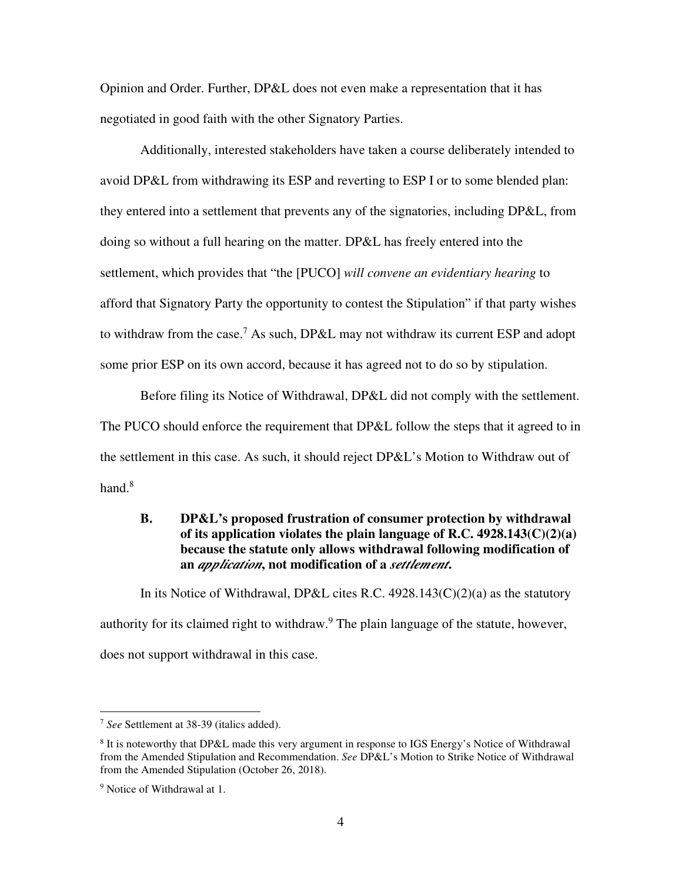Opinion and Order. Further, DP&L does not even make a representation that it has negotiated in good faith with the other Signatory Parties.

Additionally, interested stakeholders have taken a course deliberately intended to avoid DP&L from withdrawing its ESP and reverting to ESP I or to some blended plan: they entered into a settlement that prevents any of the signatories, including DP&L, from doing so without a full hearing on the matter. DP&L has freely entered into the settlement, which provides that "the [PUCO] *will convene an evidentiary hearing* to afford that Signatory Party the opportunity to contest the Stipulation" if that party wishes to withdraw from the case.<sup>7</sup> As such, DP&L may not withdraw its current ESP and adopt some prior ESP on its own accord, because it has agreed not to do so by stipulation.

Before filing its Notice of Withdrawal, DP&L did not comply with the settlement. The PUCO should enforce the requirement that DP&L follow the steps that it agreed to in the settlement in this case. As such, it should reject DP&L's Motion to Withdraw out of hand.<sup>8</sup>

### **B. DP&L's proposed frustration of consumer protection by withdrawal of its application violates the plain language of R.C. 4928.143(C)(2)(a) because the statute only allows withdrawal following modification of an** *application***, not modification of a** *settlement***.**

In its Notice of Withdrawal, DP&L cites R.C.  $4928.143(C)(2)(a)$  as the statutory authority for its claimed right to withdraw.<sup>9</sup> The plain language of the statute, however, does not support withdrawal in this case.

<sup>7</sup> *See* Settlement at 38-39 (italics added).

<sup>&</sup>lt;sup>8</sup> It is noteworthy that DP&L made this very argument in response to IGS Energy's Notice of Withdrawal from the Amended Stipulation and Recommendation. *See* DP&L's Motion to Strike Notice of Withdrawal from the Amended Stipulation (October 26, 2018).

<sup>&</sup>lt;sup>9</sup> Notice of Withdrawal at 1.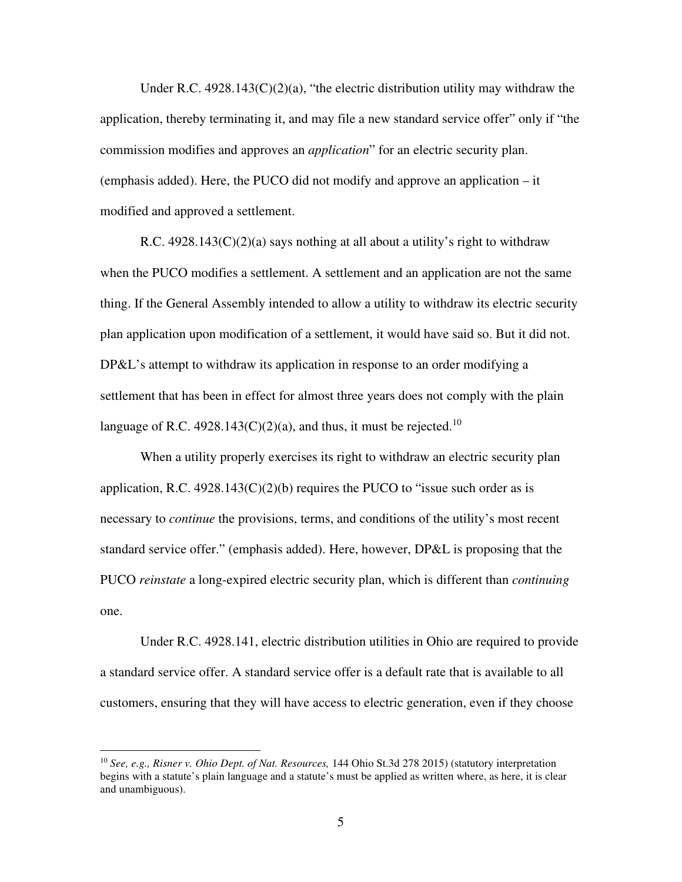Under R.C.  $4928.143(C)(2)(a)$ , "the electric distribution utility may withdraw the application, thereby terminating it, and may file a new standard service offer" only if "the commission modifies and approves an *application*" for an electric security plan. (emphasis added). Here, the PUCO did not modify and approve an application – it modified and approved a settlement.

R.C.  $4928.143(C)(2)(a)$  says nothing at all about a utility's right to withdraw when the PUCO modifies a settlement. A settlement and an application are not the same thing. If the General Assembly intended to allow a utility to withdraw its electric security plan application upon modification of a settlement, it would have said so. But it did not. DP&L's attempt to withdraw its application in response to an order modifying a settlement that has been in effect for almost three years does not comply with the plain language of R.C. 4928.143(C)(2)(a), and thus, it must be rejected.<sup>10</sup>

When a utility properly exercises its right to withdraw an electric security plan application, R.C.  $4928.143(C)(2)(b)$  requires the PUCO to "issue such order as is necessary to *continue* the provisions, terms, and conditions of the utility's most recent standard service offer." (emphasis added). Here, however, DP&L is proposing that the PUCO *reinstate* a long-expired electric security plan, which is different than *continuing* one.

Under R.C. 4928.141, electric distribution utilities in Ohio are required to provide a standard service offer. A standard service offer is a default rate that is available to all customers, ensuring that they will have access to electric generation, even if they choose

<sup>10</sup> *See, e.g., Risner v. Ohio Dept. of Nat. Resources,* 144 Ohio St.3d 278 2015) (statutory interpretation begins with a statute's plain language and a statute's must be applied as written where, as here, it is clear and unambiguous).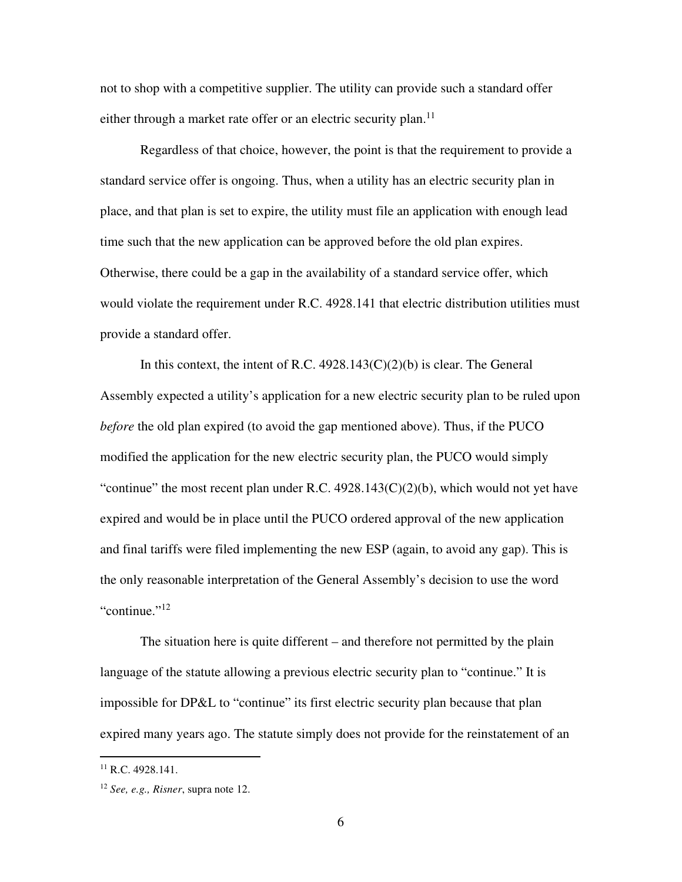not to shop with a competitive supplier. The utility can provide such a standard offer either through a market rate offer or an electric security plan.<sup>11</sup>

Regardless of that choice, however, the point is that the requirement to provide a standard service offer is ongoing. Thus, when a utility has an electric security plan in place, and that plan is set to expire, the utility must file an application with enough lead time such that the new application can be approved before the old plan expires. Otherwise, there could be a gap in the availability of a standard service offer, which would violate the requirement under R.C. 4928.141 that electric distribution utilities must provide a standard offer.

In this context, the intent of R.C.  $4928.143(C)(2)(b)$  is clear. The General Assembly expected a utility's application for a new electric security plan to be ruled upon *before* the old plan expired (to avoid the gap mentioned above). Thus, if the PUCO modified the application for the new electric security plan, the PUCO would simply "continue" the most recent plan under R.C.  $4928.143(C)(2)(b)$ , which would not yet have expired and would be in place until the PUCO ordered approval of the new application and final tariffs were filed implementing the new ESP (again, to avoid any gap). This is the only reasonable interpretation of the General Assembly's decision to use the word "continue."<sup>12</sup>

The situation here is quite different – and therefore not permitted by the plain language of the statute allowing a previous electric security plan to "continue." It is impossible for DP&L to "continue" its first electric security plan because that plan expired many years ago. The statute simply does not provide for the reinstatement of an

 $^{11}$  R.C. 4928.141.

<sup>12</sup> *See, e.g., Risner*, supra note 12.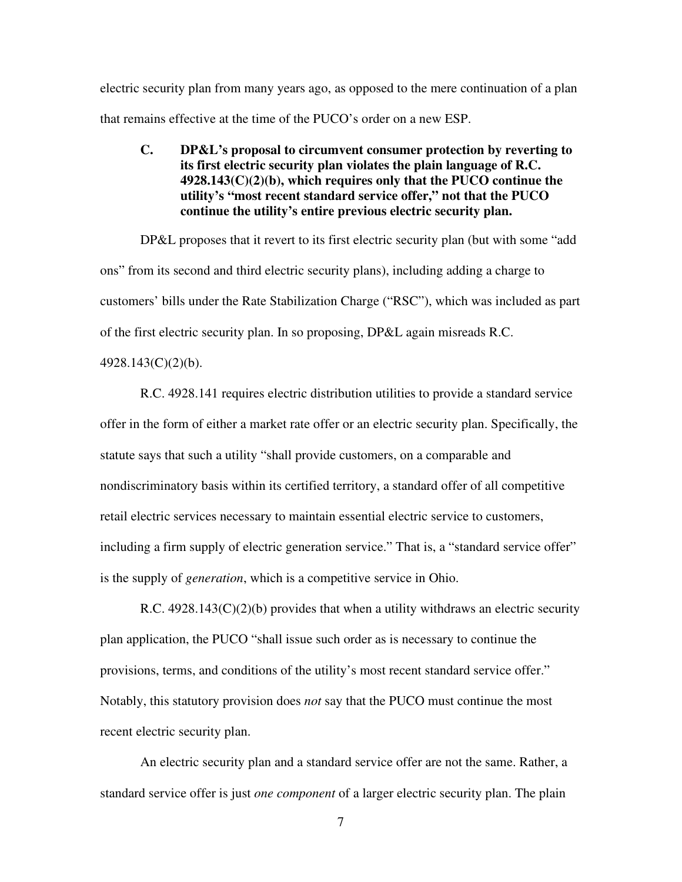electric security plan from many years ago, as opposed to the mere continuation of a plan that remains effective at the time of the PUCO's order on a new ESP.

**C. DP&L's proposal to circumvent consumer protection by reverting to its first electric security plan violates the plain language of R.C. 4928.143(C)(2)(b), which requires only that the PUCO continue the utility's "most recent standard service offer," not that the PUCO continue the utility's entire previous electric security plan.** 

DP&L proposes that it revert to its first electric security plan (but with some "add") ons" from its second and third electric security plans), including adding a charge to customers' bills under the Rate Stabilization Charge ("RSC"), which was included as part of the first electric security plan. In so proposing, DP&L again misreads R.C. 4928.143(C)(2)(b).

R.C. 4928.141 requires electric distribution utilities to provide a standard service offer in the form of either a market rate offer or an electric security plan. Specifically, the statute says that such a utility "shall provide customers, on a comparable and nondiscriminatory basis within its certified territory, a standard offer of all competitive retail electric services necessary to maintain essential electric service to customers, including a firm supply of electric generation service." That is, a "standard service offer" is the supply of *generation*, which is a competitive service in Ohio.

R.C.  $4928.143(C)(2)(b)$  provides that when a utility withdraws an electric security plan application, the PUCO "shall issue such order as is necessary to continue the provisions, terms, and conditions of the utility's most recent standard service offer." Notably, this statutory provision does *not* say that the PUCO must continue the most recent electric security plan.

An electric security plan and a standard service offer are not the same. Rather, a standard service offer is just *one component* of a larger electric security plan. The plain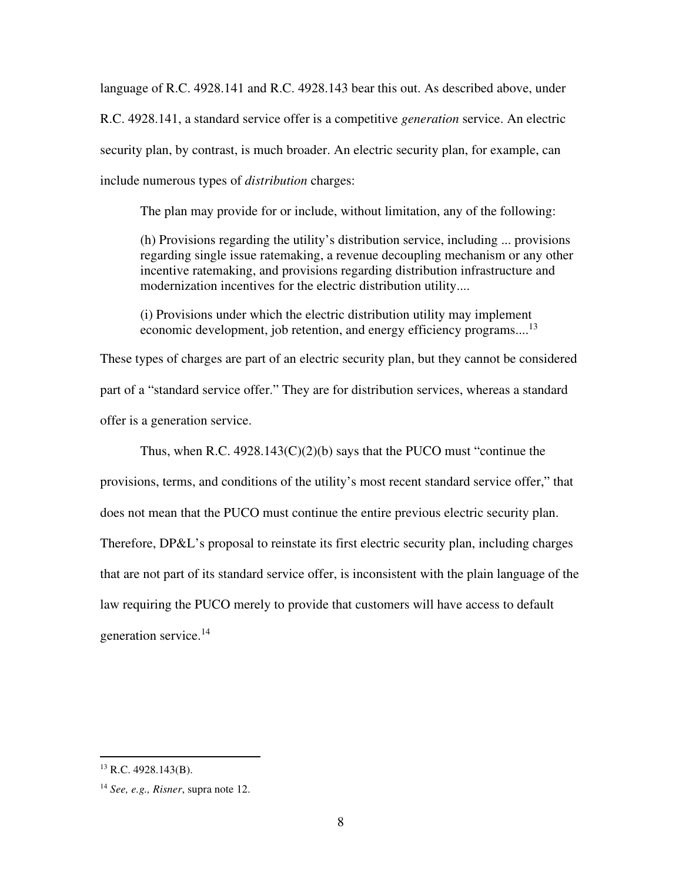language of R.C. 4928.141 and R.C. 4928.143 bear this out. As described above, under R.C. 4928.141, a standard service offer is a competitive *generation* service. An electric security plan, by contrast, is much broader. An electric security plan, for example, can include numerous types of *distribution* charges:

The plan may provide for or include, without limitation, any of the following:

(h) Provisions regarding the utility's distribution service, including ... provisions regarding single issue ratemaking, a revenue decoupling mechanism or any other incentive ratemaking, and provisions regarding distribution infrastructure and modernization incentives for the electric distribution utility....

(i) Provisions under which the electric distribution utility may implement economic development, job retention, and energy efficiency programs....<sup>13</sup>

These types of charges are part of an electric security plan, but they cannot be considered part of a "standard service offer." They are for distribution services, whereas a standard offer is a generation service.

Thus, when R.C.  $4928.143(C)(2)(b)$  says that the PUCO must "continue the provisions, terms, and conditions of the utility's most recent standard service offer," that does not mean that the PUCO must continue the entire previous electric security plan. Therefore, DP&L's proposal to reinstate its first electric security plan, including charges that are not part of its standard service offer, is inconsistent with the plain language of the law requiring the PUCO merely to provide that customers will have access to default generation service.<sup>14</sup>

 $13$  R.C. 4928.143(B).

<sup>14</sup> *See, e.g., Risner*, supra note 12.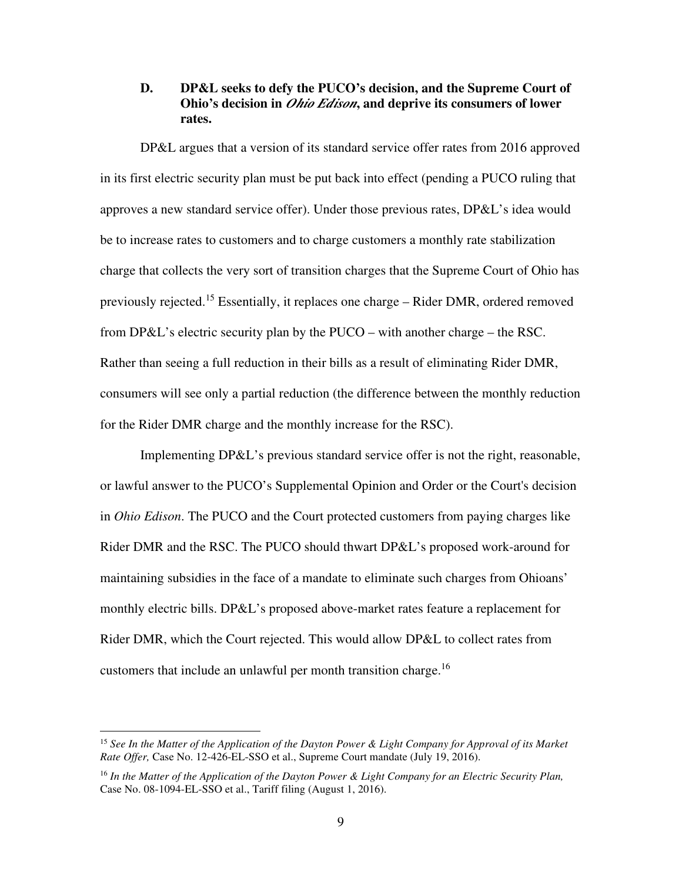### **D. DP&L seeks to defy the PUCO's decision, and the Supreme Court of Ohio's decision in** *Ohio Edison***, and deprive its consumers of lower rates.**

DP&L argues that a version of its standard service offer rates from 2016 approved in its first electric security plan must be put back into effect (pending a PUCO ruling that approves a new standard service offer). Under those previous rates, DP&L's idea would be to increase rates to customers and to charge customers a monthly rate stabilization charge that collects the very sort of transition charges that the Supreme Court of Ohio has previously rejected.<sup>15</sup> Essentially, it replaces one charge – Rider DMR, ordered removed from DP&L's electric security plan by the PUCO – with another charge – the RSC. Rather than seeing a full reduction in their bills as a result of eliminating Rider DMR, consumers will see only a partial reduction (the difference between the monthly reduction for the Rider DMR charge and the monthly increase for the RSC).

Implementing DP&L's previous standard service offer is not the right, reasonable, or lawful answer to the PUCO's Supplemental Opinion and Order or the Court's decision in *Ohio Edison*. The PUCO and the Court protected customers from paying charges like Rider DMR and the RSC. The PUCO should thwart DP&L's proposed work-around for maintaining subsidies in the face of a mandate to eliminate such charges from Ohioans' monthly electric bills. DP&L's proposed above-market rates feature a replacement for Rider DMR, which the Court rejected. This would allow DP&L to collect rates from customers that include an unlawful per month transition charge.<sup>16</sup>

<sup>15</sup> *See In the Matter of the Application of the Dayton Power & Light Company for Approval of its Market Rate Offer,* Case No. 12-426-EL-SSO et al., Supreme Court mandate (July 19, 2016).

<sup>16</sup> *In the Matter of the Application of the Dayton Power & Light Company for an Electric Security Plan,* Case No. 08-1094-EL-SSO et al., Tariff filing (August 1, 2016).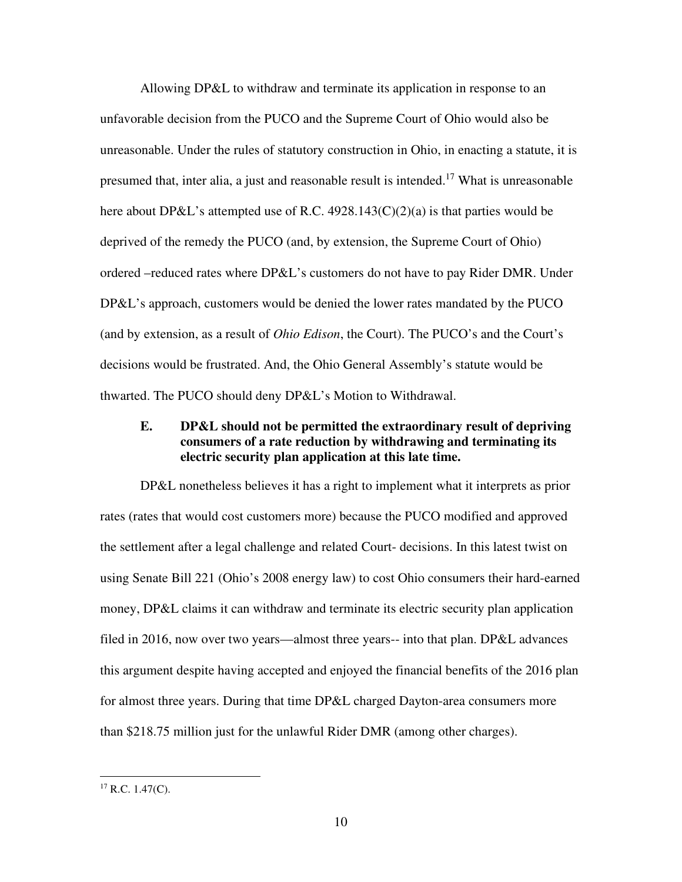Allowing DP&L to withdraw and terminate its application in response to an unfavorable decision from the PUCO and the Supreme Court of Ohio would also be unreasonable. Under the rules of statutory construction in Ohio, in enacting a statute, it is presumed that, inter alia, a just and reasonable result is intended.<sup>17</sup> What is unreasonable here about DP&L's attempted use of R.C.  $4928.143(C)(2)(a)$  is that parties would be deprived of the remedy the PUCO (and, by extension, the Supreme Court of Ohio) ordered –reduced rates where DP&L's customers do not have to pay Rider DMR. Under DP&L's approach, customers would be denied the lower rates mandated by the PUCO (and by extension, as a result of *Ohio Edison*, the Court). The PUCO's and the Court's decisions would be frustrated. And, the Ohio General Assembly's statute would be thwarted. The PUCO should deny DP&L's Motion to Withdrawal.

## **E. DP&L should not be permitted the extraordinary result of depriving consumers of a rate reduction by withdrawing and terminating its electric security plan application at this late time.**

DP&L nonetheless believes it has a right to implement what it interprets as prior rates (rates that would cost customers more) because the PUCO modified and approved the settlement after a legal challenge and related Court- decisions. In this latest twist on using Senate Bill 221 (Ohio's 2008 energy law) to cost Ohio consumers their hard-earned money, DP&L claims it can withdraw and terminate its electric security plan application filed in 2016, now over two years—almost three years-- into that plan. DP&L advances this argument despite having accepted and enjoyed the financial benefits of the 2016 plan for almost three years. During that time DP&L charged Dayton-area consumers more than \$218.75 million just for the unlawful Rider DMR (among other charges).

 $17$  R.C. 1.47(C).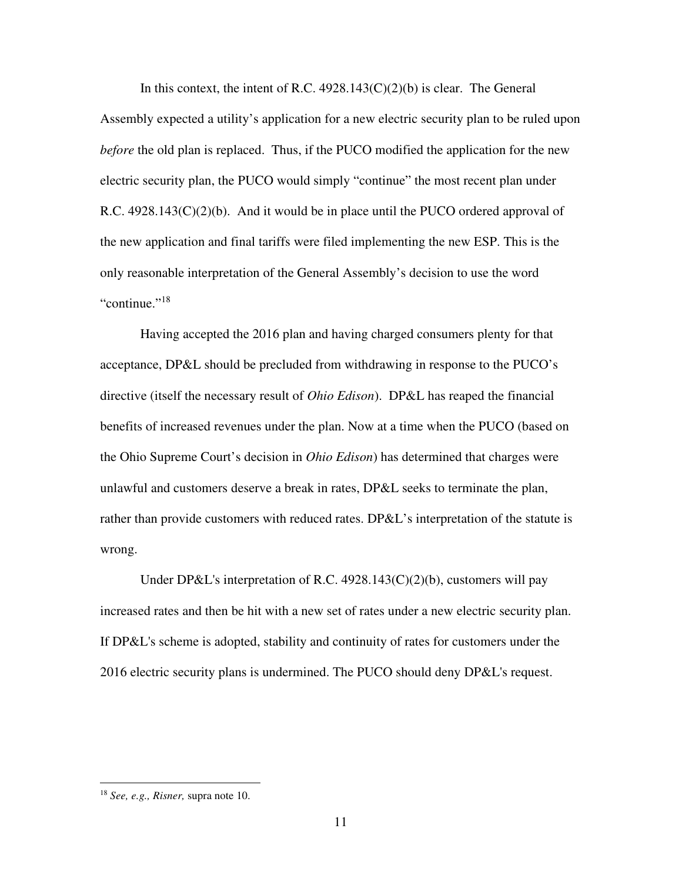In this context, the intent of R.C.  $4928.143(C)(2)(b)$  is clear. The General Assembly expected a utility's application for a new electric security plan to be ruled upon *before* the old plan is replaced. Thus, if the PUCO modified the application for the new electric security plan, the PUCO would simply "continue" the most recent plan under R.C.  $4928.143(C)(2)(b)$ . And it would be in place until the PUCO ordered approval of the new application and final tariffs were filed implementing the new ESP. This is the only reasonable interpretation of the General Assembly's decision to use the word "continue."<sup>18</sup>

Having accepted the 2016 plan and having charged consumers plenty for that acceptance, DP&L should be precluded from withdrawing in response to the PUCO's directive (itself the necessary result of *Ohio Edison*). DP&L has reaped the financial benefits of increased revenues under the plan. Now at a time when the PUCO (based on the Ohio Supreme Court's decision in *Ohio Edison*) has determined that charges were unlawful and customers deserve a break in rates, DP&L seeks to terminate the plan, rather than provide customers with reduced rates. DP&L's interpretation of the statute is wrong.

Under DP&L's interpretation of R.C. 4928.143(C)(2)(b), customers will pay increased rates and then be hit with a new set of rates under a new electric security plan. If DP&L's scheme is adopted, stability and continuity of rates for customers under the 2016 electric security plans is undermined. The PUCO should deny DP&L's request.

<sup>18</sup> *See, e.g., Risner,* supra note 10.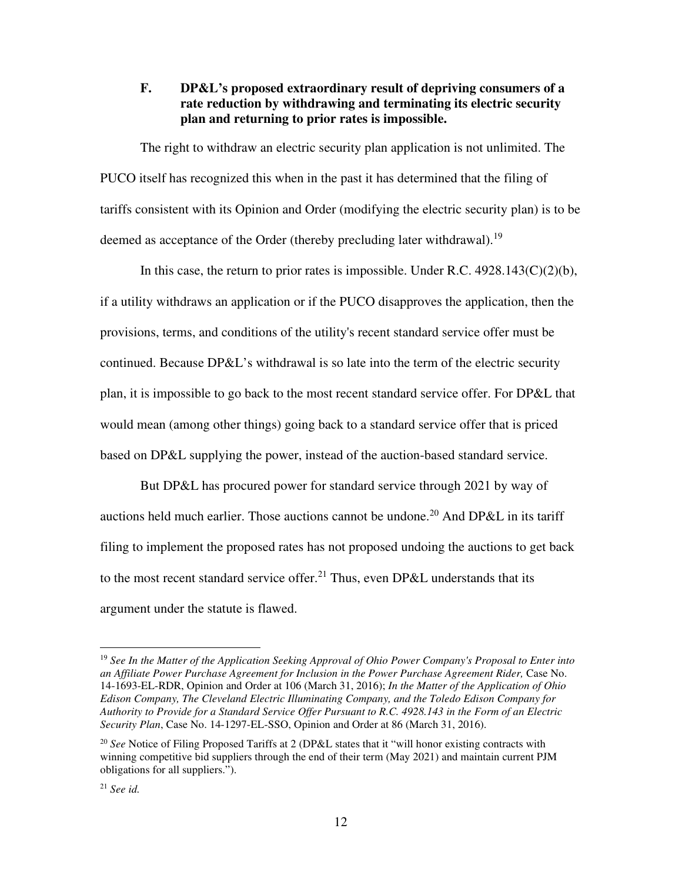## **F. DP&L's proposed extraordinary result of depriving consumers of a rate reduction by withdrawing and terminating its electric security plan and returning to prior rates is impossible.**

The right to withdraw an electric security plan application is not unlimited. The PUCO itself has recognized this when in the past it has determined that the filing of tariffs consistent with its Opinion and Order (modifying the electric security plan) is to be deemed as acceptance of the Order (thereby precluding later withdrawal).<sup>19</sup>

In this case, the return to prior rates is impossible. Under R.C.  $4928.143(C)(2)(b)$ , if a utility withdraws an application or if the PUCO disapproves the application, then the provisions, terms, and conditions of the utility's recent standard service offer must be continued. Because DP&L's withdrawal is so late into the term of the electric security plan, it is impossible to go back to the most recent standard service offer. For DP&L that would mean (among other things) going back to a standard service offer that is priced based on DP&L supplying the power, instead of the auction-based standard service.

But DP&L has procured power for standard service through 2021 by way of auctions held much earlier. Those auctions cannot be undone.<sup>20</sup> And DP&L in its tariff filing to implement the proposed rates has not proposed undoing the auctions to get back to the most recent standard service offer.<sup>21</sup> Thus, even DP&L understands that its argument under the statute is flawed.

<sup>19</sup> *See In the Matter of the Application Seeking Approval of Ohio Power Company's Proposal to Enter into an Affiliate Power Purchase Agreement for Inclusion in the Power Purchase Agreement Rider,* Case No. 14-1693-EL-RDR, Opinion and Order at 106 (March 31, 2016); *In the Matter of the Application of Ohio Edison Company, The Cleveland Electric Illuminating Company, and the Toledo Edison Company for Authority to Provide for a Standard Service Offer Pursuant to R.C. 4928.143 in the Form of an Electric Security Plan*, Case No. 14-1297-EL-SSO, Opinion and Order at 86 (March 31, 2016).

<sup>20</sup> *See* Notice of Filing Proposed Tariffs at 2 (DP&L states that it "will honor existing contracts with winning competitive bid suppliers through the end of their term (May 2021) and maintain current PJM obligations for all suppliers.").

<sup>21</sup> *See id.*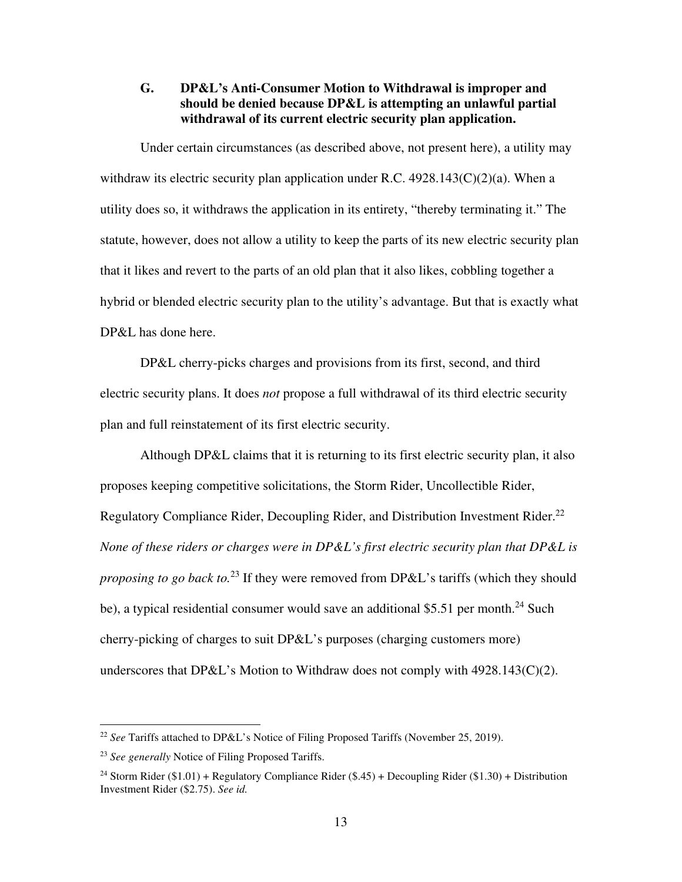## **G. DP&L's Anti-Consumer Motion to Withdrawal is improper and should be denied because DP&L is attempting an unlawful partial withdrawal of its current electric security plan application.**

Under certain circumstances (as described above, not present here), a utility may withdraw its electric security plan application under R.C.  $4928.143(C)(2)(a)$ . When a utility does so, it withdraws the application in its entirety, "thereby terminating it." The statute, however, does not allow a utility to keep the parts of its new electric security plan that it likes and revert to the parts of an old plan that it also likes, cobbling together a hybrid or blended electric security plan to the utility's advantage. But that is exactly what DP&L has done here.

DP&L cherry-picks charges and provisions from its first, second, and third electric security plans. It does *not* propose a full withdrawal of its third electric security plan and full reinstatement of its first electric security.

Although DP&L claims that it is returning to its first electric security plan, it also proposes keeping competitive solicitations, the Storm Rider, Uncollectible Rider, Regulatory Compliance Rider, Decoupling Rider, and Distribution Investment Rider.<sup>22</sup> *None of these riders or charges were in DP&L's first electric security plan that DP&L is proposing to go back to.*<sup>23</sup> If they were removed from DP&L's tariffs (which they should be), a typical residential consumer would save an additional \$5.51 per month.<sup>24</sup> Such cherry-picking of charges to suit DP&L's purposes (charging customers more) underscores that  $DP&L$ 's Motion to Withdraw does not comply with 4928.143(C)(2).

<sup>22</sup> *See* Tariffs attached to DP&L's Notice of Filing Proposed Tariffs (November 25, 2019).

<sup>23</sup> *See generally* Notice of Filing Proposed Tariffs.

<sup>&</sup>lt;sup>24</sup> Storm Rider (\$1.01) + Regulatory Compliance Rider (\$.45) + Decoupling Rider (\$1.30) + Distribution Investment Rider (\$2.75). *See id.*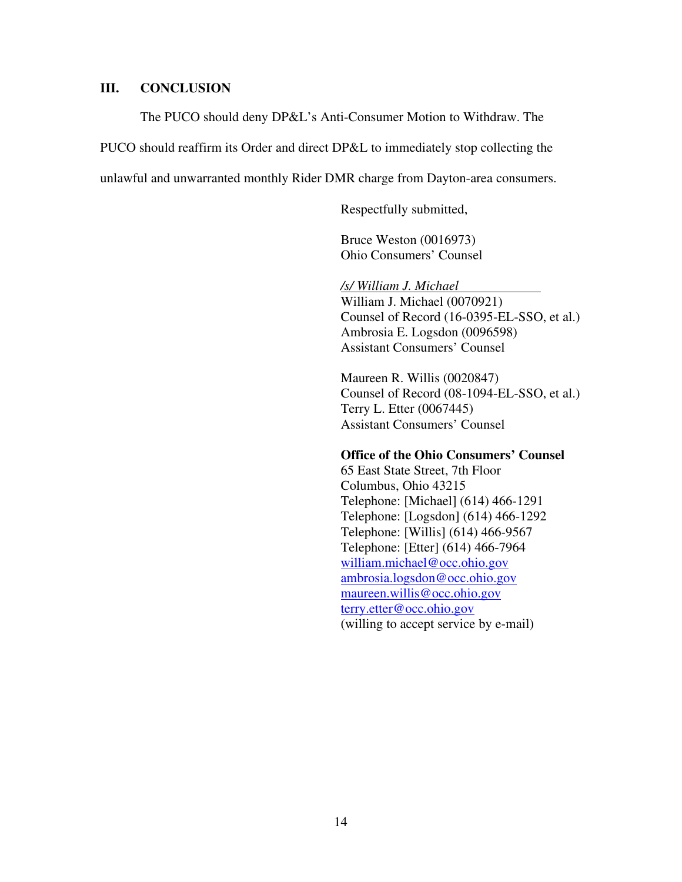#### **III. CONCLUSION**

The PUCO should deny DP&L's Anti-Consumer Motion to Withdraw. The

PUCO should reaffirm its Order and direct DP&L to immediately stop collecting the

unlawful and unwarranted monthly Rider DMR charge from Dayton-area consumers.

Respectfully submitted,

Bruce Weston (0016973) Ohio Consumers' Counsel

*/s/ William J. Michael*  William J. Michael (0070921) Counsel of Record (16-0395-EL-SSO, et al.) Ambrosia E. Logsdon (0096598) Assistant Consumers' Counsel

Maureen R. Willis (0020847) Counsel of Record (08-1094-EL-SSO, et al.) Terry L. Etter (0067445) Assistant Consumers' Counsel

#### **Office of the Ohio Consumers' Counsel**

65 East State Street, 7th Floor Columbus, Ohio 43215 Telephone: [Michael] (614) 466-1291 Telephone: [Logsdon] (614) 466-1292 Telephone: [Willis] (614) 466-9567 Telephone: [Etter] (614) 466-7964 william.michael@occ.ohio.gov ambrosia.logsdon@occ.ohio.gov maureen.willis@occ.ohio.gov terry.etter@occ.ohio.gov (willing to accept service by e-mail)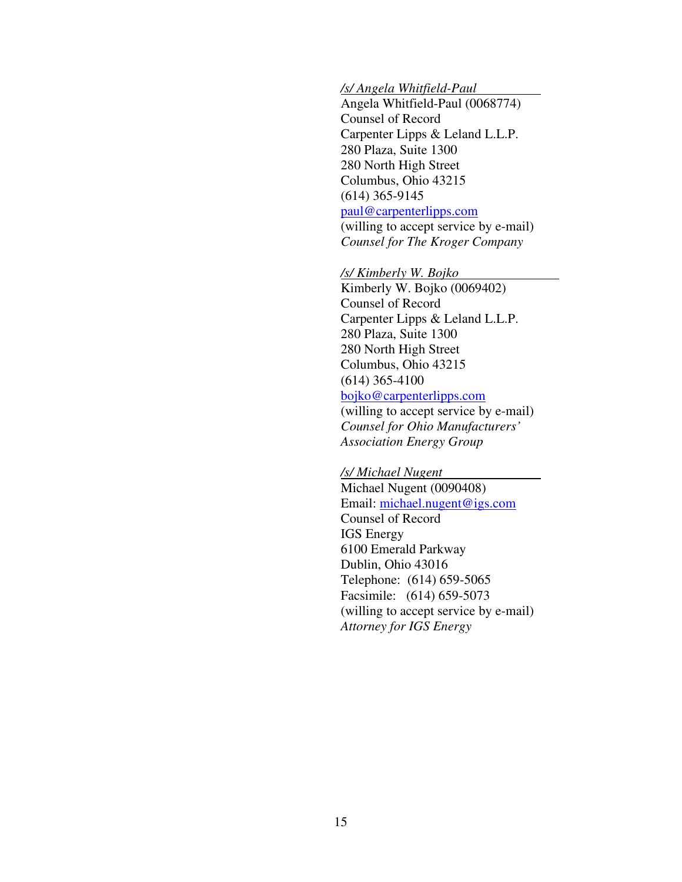#### */s/ Angela Whitfield-Paul*

Angela Whitfield-Paul (0068774) Counsel of Record Carpenter Lipps & Leland L.L.P. 280 Plaza, Suite 1300 280 North High Street Columbus, Ohio 43215 (614) 365-9145 paul@carpenterlipps.com (willing to accept service by e-mail) *Counsel for The Kroger Company* 

#### */s/ Kimberly W. Bojko*

Kimberly W. Bojko (0069402) Counsel of Record Carpenter Lipps & Leland L.L.P. 280 Plaza, Suite 1300 280 North High Street Columbus, Ohio 43215 (614) 365-4100 bojko@carpenterlipps.com

 (willing to accept service by e-mail) *Counsel for Ohio Manufacturers' Association Energy Group* 

#### */s/ Michael Nugent*

Michael Nugent (0090408) Email: michael.nugent@igs.com Counsel of Record IGS Energy 6100 Emerald Parkway Dublin, Ohio 43016 Telephone: (614) 659-5065 Facsimile: (614) 659-5073 (willing to accept service by e-mail) *Attorney for IGS Energy*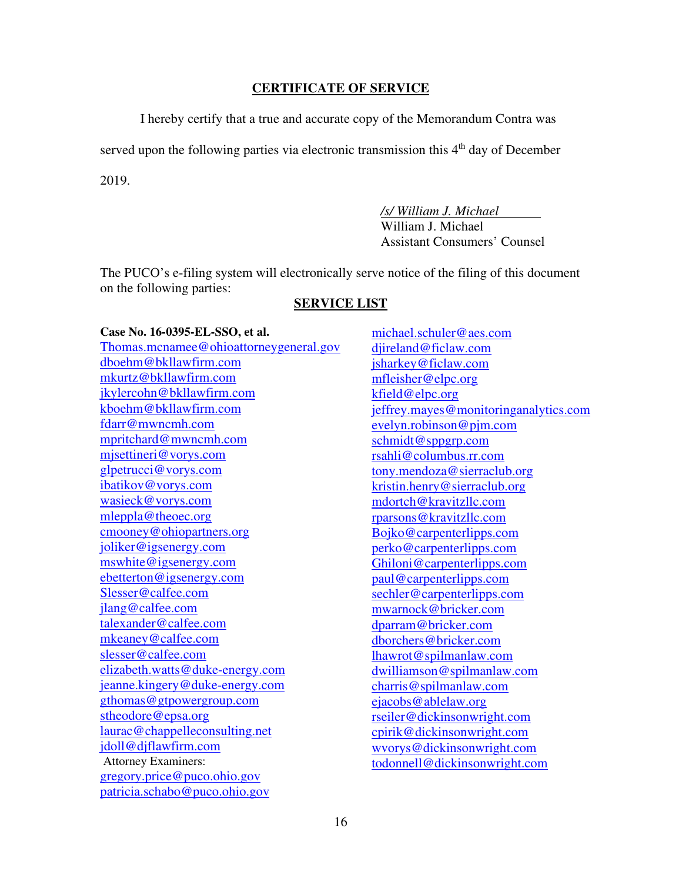### **CERTIFICATE OF SERVICE**

I hereby certify that a true and accurate copy of the Memorandum Contra was

served upon the following parties via electronic transmission this 4<sup>th</sup> day of December

2019.

 */s/ William J. Michael*  William J. Michael Assistant Consumers' Counsel

The PUCO's e-filing system will electronically serve notice of the filing of this document on the following parties:

### **SERVICE LIST**

#### **Case No. 16-0395-EL-SSO, et al.**

Thomas.mcnamee@ohioattorneygeneral.gov dboehm@bkllawfirm.com mkurtz@bkllawfirm.com jkylercohn@bkllawfirm.com kboehm@bkllawfirm.com fdarr@mwncmh.com mpritchard@mwncmh.com mjsettineri@vorys.com glpetrucci@vorys.com ibatikov@vorys.com wasieck@vorys.com mleppla@theoec.org cmooney@ohiopartners.org joliker@igsenergy.com mswhite@igsenergy.com ebetterton@igsenergy.com Slesser@calfee.com jlang@calfee.com talexander@calfee.com mkeaney@calfee.com slesser@calfee.com elizabeth.watts@duke-energy.com jeanne.kingery@duke-energy.com gthomas@gtpowergroup.com stheodore@epsa.org laurac@chappelleconsulting.net jdoll@djflawfirm.com Attorney Examiners: gregory.price@puco.ohio.gov patricia.schabo@puco.ohio.gov

michael.schuler@aes.com djireland@ficlaw.com jsharkey@ficlaw.com mfleisher@elpc.org kfield@elpc.org jeffrey.mayes@monitoringanalytics.com evelyn.robinson@pjm.com schmidt@sppgrp.com rsahli@columbus.rr.com tony.mendoza@sierraclub.org kristin.henry@sierraclub.org mdortch@kravitzllc.com rparsons@kravitzllc.com Bojko@carpenterlipps.com perko@carpenterlipps.com Ghiloni@carpenterlipps.com paul@carpenterlipps.com sechler@carpenterlipps.com mwarnock@bricker.com dparram@bricker.com dborchers@bricker.com lhawrot@spilmanlaw.com dwilliamson@spilmanlaw.com charris@spilmanlaw.com ejacobs@ablelaw.org rseiler@dickinsonwright.com cpirik@dickinsonwright.com wvorys@dickinsonwright.com todonnell@dickinsonwright.com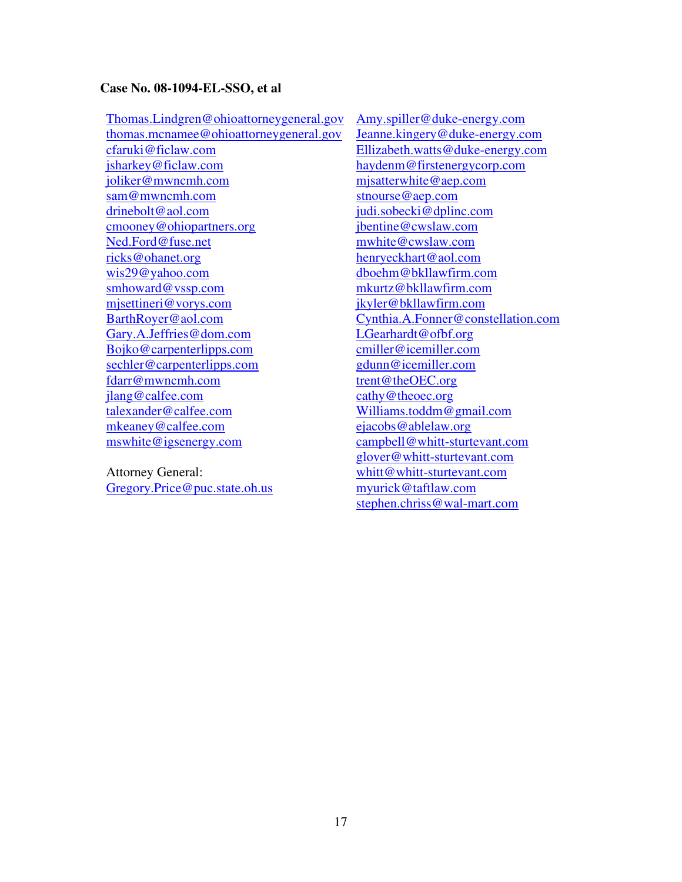#### **Case No. 08-1094-EL-SSO, et al**

Thomas.Lindgren@ohioattorneygeneral.gov thomas.mcnamee@ohioattorneygeneral.gov cfaruki@ficlaw.com jsharkey@ficlaw.com joliker@mwncmh.com sam@mwncmh.com drinebolt@aol.com cmooney@ohiopartners.org Ned.Ford@fuse.net ricks@ohanet.org wis29@yahoo.com smhoward@vssp.com mjsettineri@vorys.com BarthRoyer@aol.com Gary.A.Jeffries@dom.com Bojko@carpenterlipps.com sechler@carpenterlipps.com fdarr@mwncmh.com jlang@calfee.com talexander@calfee.com mkeaney@calfee.com mswhite@igsenergy.com

Attorney General: Gregory.Price@puc.state.oh.us Amy.spiller@duke-energy.com Jeanne.kingery@duke-energy.com Ellizabeth.watts@duke-energy.com haydenm@firstenergycorp.com mjsatterwhite@aep.com stnourse@aep.com judi.sobecki@dplinc.com jbentine@cwslaw.com mwhite@cwslaw.com henryeckhart@aol.com dboehm@bkllawfirm.com mkurtz@bkllawfirm.com jkyler@bkllawfirm.com Cynthia.A.Fonner@constellation.com LGearhardt@ofbf.org cmiller@icemiller.com gdunn@icemiller.com trent@theOEC.org cathy@theoec.org Williams.toddm@gmail.com ejacobs@ablelaw.org campbell@whitt-sturtevant.com glover@whitt-sturtevant.com whitt@whitt-sturtevant.com myurick@taftlaw.com stephen.chriss@wal-mart.com